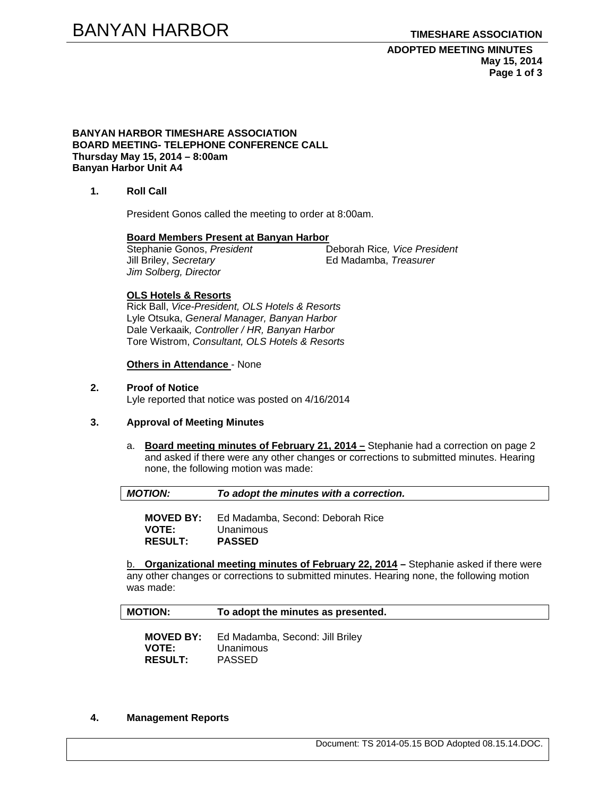**ADOPTED MEETING MINUTES May 15, 2014 Page 1 of 3** 

#### **BANYAN HARBOR TIMESHARE ASSOCIATION BOARD MEETING- TELEPHONE CONFERENCE CALL Thursday May 15, 2014 – 8:00am Banyan Harbor Unit A4**

**1. Roll Call** 

President Gonos called the meeting to order at 8:00am.

**Board Members Present at Banyan Harbor**   $\overline{\text{Stephanie Gonos}, \text{President}}$ Jill Briley, *Secretary* **Ed Madamba**, *Treasurer Jim Solberg, Director* 

### **OLS Hotels & Resorts**

Rick Ball, *Vice-President, OLS Hotels & Resorts* Lyle Otsuka, *General Manager, Banyan Harbor*  Dale Verkaaik*, Controller / HR, Banyan Harbor*  Tore Wistrom, *Consultant, OLS Hotels & Resorts* 

### **Others in Attendance** - None

### **2. Proof of Notice**

Lyle reported that notice was posted on 4/16/2014

# **3. Approval of Meeting Minutes**

a. **Board meeting minutes of February 21, 2014 –** Stephanie had a correction on page 2 and asked if there were any other changes or corrections to submitted minutes. Hearing none, the following motion was made:

| MOTION: | To adopt the minutes with a correction. |
|---------|-----------------------------------------|
|         |                                         |

**MOVED BY:** Ed Madamba, Second: Deborah Rice **VOTE:** Unanimous **RESULT: PASSED** 

b. **Organizational meeting minutes of February 22, 2014 –** Stephanie asked if there were any other changes or corrections to submitted minutes. Hearing none, the following motion was made:

| <b>MOTION:</b> | To adopt the minutes as presented. |
|----------------|------------------------------------|
|                |                                    |

 **MOVED BY:** Ed Madamba, Second: Jill Briley  **VOTE:** Unanimous  **RESULT:** PASSED

#### **4. Management Reports**

Document: TS 2014-05.15 BOD Adopted 08.15.14.DOC.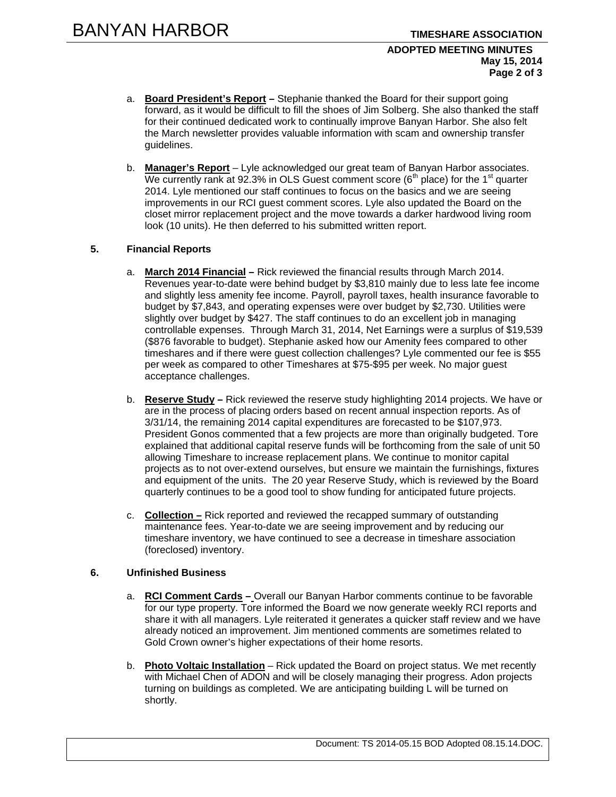#### **ADOPTED MEETING MINUTES May 15, 2014 Page 2 of 3**

- a. **Board President's Report** Stephanie thanked the Board for their support going forward, as it would be difficult to fill the shoes of Jim Solberg. She also thanked the staff for their continued dedicated work to continually improve Banyan Harbor. She also felt the March newsletter provides valuable information with scam and ownership transfer guidelines.
- b. **Manager's Report** Lyle acknowledged our great team of Banyan Harbor associates. We currently rank at 92.3% in OLS Guest comment score  $(6<sup>th</sup>$  place) for the 1<sup>st</sup> quarter 2014. Lyle mentioned our staff continues to focus on the basics and we are seeing improvements in our RCI guest comment scores. Lyle also updated the Board on the closet mirror replacement project and the move towards a darker hardwood living room look (10 units). He then deferred to his submitted written report.

# **5. Financial Reports**

- a. **March 2014 Financial –** Rick reviewed the financial results through March 2014. Revenues year-to-date were behind budget by \$3,810 mainly due to less late fee income and slightly less amenity fee income. Payroll, payroll taxes, health insurance favorable to budget by \$7,843, and operating expenses were over budget by \$2,730. Utilities were slightly over budget by \$427. The staff continues to do an excellent job in managing controllable expenses. Through March 31, 2014, Net Earnings were a surplus of \$19,539 (\$876 favorable to budget). Stephanie asked how our Amenity fees compared to other timeshares and if there were guest collection challenges? Lyle commented our fee is \$55 per week as compared to other Timeshares at \$75-\$95 per week. No major guest acceptance challenges.
- b. **Reserve Study –** Rick reviewed the reserve study highlighting 2014 projects. We have or are in the process of placing orders based on recent annual inspection reports. As of 3/31/14, the remaining 2014 capital expenditures are forecasted to be \$107,973. President Gonos commented that a few projects are more than originally budgeted. Tore explained that additional capital reserve funds will be forthcoming from the sale of unit 50 allowing Timeshare to increase replacement plans. We continue to monitor capital projects as to not over-extend ourselves, but ensure we maintain the furnishings, fixtures and equipment of the units. The 20 year Reserve Study, which is reviewed by the Board quarterly continues to be a good tool to show funding for anticipated future projects.
- c. **Collection –** Rick reported and reviewed the recapped summary of outstanding maintenance fees. Year-to-date we are seeing improvement and by reducing our timeshare inventory, we have continued to see a decrease in timeshare association (foreclosed) inventory.

# **6. Unfinished Business**

- a. **RCI Comment Cards** Overall our Banyan Harbor comments continue to be favorable for our type property. Tore informed the Board we now generate weekly RCI reports and share it with all managers. Lyle reiterated it generates a quicker staff review and we have already noticed an improvement. Jim mentioned comments are sometimes related to Gold Crown owner's higher expectations of their home resorts.
- b. **Photo Voltaic Installation** Rick updated the Board on project status. We met recently with Michael Chen of ADON and will be closely managing their progress. Adon projects turning on buildings as completed. We are anticipating building L will be turned on shortly.